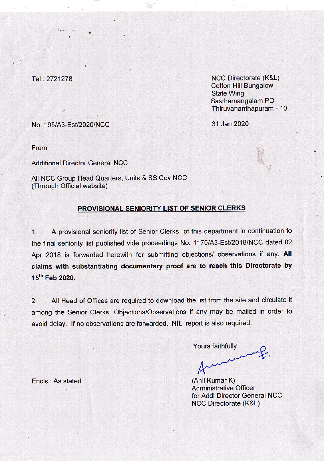Tel: 2721278

**NCC Directorate (K&L) Cotton Hill Bungalow State Wing** Sasthamangalam PO Thiruvananthapuram - 10

31 Jan 2020

No. 195/A3-Est/2020/NCC

From

**Additional Director General NCC** 

All NCC Group Head Quarters, Units & SS Coy NCC (Through Official website)

## PROVISIONAL SENIORITY LIST OF SENIOR CLERKS

A provisional seniority list of Senior Clerks of this department in continuation to  $\mathbf{1}$ the final seniority list published vide proceedings No. 1170/A3-Est/2018/NCC dated 02 Apr 2018 is forwarded herewith for submitting objections/ observations if any. All claims with substantiating documentary proof are to reach this Directorate by 15<sup>th</sup> Feb 2020.

All Head of Offices are required to download the list from the site and circulate it  $2.$ among the Senior Clerks. Objections/Observations if any may be mailed in order to avoid delay. If no observations are forwarded, 'NIL' report is also required.

Yours faithfully

(Anil Kumar K) **Administrative Officer** for Addl Director General NCC **NCC Directorate (K&L)** 

Encls: As stated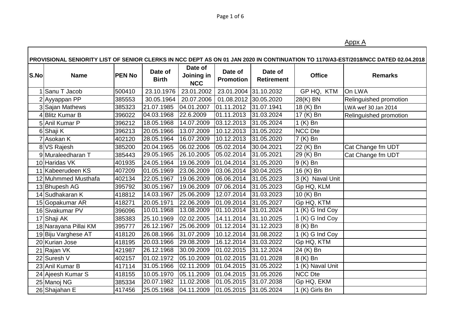Appx A

|      |                       |               |                         |                                     |                             |                              |                             | PROVISIONAL SENIORITY LIST OF SENIOR CLERKS IN NCC DEPT AS ON 01 JAN 2020 IN CONTINUATION TO 1170/A3-EST/2018/NCC DATED 02.04.2018 |
|------|-----------------------|---------------|-------------------------|-------------------------------------|-----------------------------|------------------------------|-----------------------------|------------------------------------------------------------------------------------------------------------------------------------|
| S.No | <b>Name</b>           | <b>PEN No</b> | Date of<br><b>Birth</b> | Date of<br>Joining in<br><b>NCC</b> | Date of<br><b>Promotion</b> | Date of<br><b>Retirement</b> | <b>Office</b>               | <b>Remarks</b>                                                                                                                     |
|      | Sanu T Jacob          | 500410        | 23.10.1976              | 23.01.2002                          | 23.01.2004                  | 31.10.2032                   | GP HQ, KTM                  | On LWA                                                                                                                             |
|      | 2 Ayyappan PP         | 385553        | 30.05.1964              | 20.07.2006                          | 01.08.2012 30.05.2020       |                              | 28(K) BN                    | Relinguished promotion                                                                                                             |
|      | 3 Sajan Mathews       | 385323        | 21.07.1985              | 04.01.2007                          | 01.11.2012                  | 31.07.1941                   | 18 (K) Bn                   | LWA wef 30 Jan 2014                                                                                                                |
|      | 4Blitz Kumar B        | 396022        | 04.03.1968              | 22.6.2009                           | 01.11.2013                  | 31.03.2024                   | 17 (K) Bn                   | Relinguished promotion                                                                                                             |
|      | 5 Anil Kumar P        | 396212        | 18.05.1968              | 14.07.2009                          | 03.12.2013                  | 31.05.2024                   | $1(K)$ Bn                   |                                                                                                                                    |
|      | 6 Shaji K             | 396213        | 20.05.1966              | 13.07.2009                          | 10.12.2013                  | 31.05.2022                   | <b>NCC Dte</b>              |                                                                                                                                    |
|      | 7 Asokan K            | 402120        | 28.05.1964              | 16.07.2009                          | 10.12.2013                  | 31.05.2020                   | 7 (K) Bn                    |                                                                                                                                    |
|      | 8 VS Rajesh           | 385200        | 20.04.1965              | 06.02.2006                          | 05.02.2014                  | 30.04.2021                   | 22 (K) Bn                   | Cat Change fm UDT                                                                                                                  |
|      | 9 Muraleedharan T     | 385443        | 29.05.1965              | 26.10.2005                          | 05.02.2014                  | 31.05.2021                   | 29 (K) Bn                   | Cat Change fm UDT                                                                                                                  |
|      | 10 Haridas VK         | 401935        | 24.05.1964              | 19.06.2009                          | 01.04.2014                  | 31.05.2020                   | 9 (K) Bn                    |                                                                                                                                    |
|      | 11 Kabeerudeen KS     | 407209        | 01.05.1969              | 23.06.2009                          | 03.06.2014                  | 30.04.2025                   | 16 (K) Bn                   |                                                                                                                                    |
|      | 12 Muhmmed Musthafa   | 402134        | 22.05.1967              | 19.06.2009                          | 06.06.2014                  | 31.05.2023                   | 3 (K) Naval Unit            |                                                                                                                                    |
|      | 13 Bhupesh AG         | 395792        | 30.05.1967              | 19.06.2009                          | 07.06.2014                  | 31.05.2023                   | Gp HQ, KLM                  |                                                                                                                                    |
|      | 14 Sudhakaran K       | 418812        | 14.03.1967              | 25.06.2009                          | 12.07.2014                  | 31.03.2023                   | 10 (K) Bn                   |                                                                                                                                    |
|      | 15 Gopakumar AR       | 418271        | 20.05.1971              | 22.06.2009                          | 01.09.2014                  | 31.05.2027                   | Gp HQ, KTM                  |                                                                                                                                    |
|      | 16 Sivakumar PV       | 396096        | 10.01.1968              | 13.08.2009                          | 01.10.2014                  | 31.01.2024                   | $\overline{1(K)}$ G Ind Coy |                                                                                                                                    |
|      | 17 Shaji AK           | 385383        | 25.10.1969              | 02.02.2005                          | 14.11.2014                  | 31.10.2025                   | 1 (K) G Ind Coy             |                                                                                                                                    |
|      | 18 Narayana Pillai KM | 395777        | 26.12.1967              | 25.06.2009                          | 01.12.2014                  | 31.12.2023                   | 8 (K) Bn                    |                                                                                                                                    |
|      | 19 Biju Varghese AT   | 418120        | 26.08.1966              | 31.07.2009                          | 10.12.2014                  | 31.08.2022                   | 1 (K) G Ind Coy             |                                                                                                                                    |
|      | 20 Kurian Jose        | 418195        | 20.03.1966              | 29.08.2009                          | 16.12.2014                  | 31.03.2022                   | Gp HQ, KTM                  |                                                                                                                                    |
|      | 21 Rajan VK           | 421987        | 26.12.1968              | 30.09.2009                          | 01.02.2015                  | 31.12.2024                   | $\overline{24}$ (K) Bn      |                                                                                                                                    |
|      | 22 Suresh V           | 402157        | 01.02.1972              | 05.10.2009                          | 01.02.2015                  | 31.01.2028                   | 8 (K) Bn                    |                                                                                                                                    |
|      | 23 Anil Kumar B       | 417114        | 31.05.1966              | 02.11.2009                          | 01.04.2015                  | 31.05.2022                   | 1 (K) Naval Unit            |                                                                                                                                    |
|      | 24 Ajeesh Kumar S     | 418155        | 10.05.1970              | 05.11.2009                          | 01.04.2015                  | 31.05.2026                   | NCC Dte                     |                                                                                                                                    |
|      | 25 Manoj NG           | 385334        | 20.07.1982              | 11.02.2008                          | 01.05.2015                  | 31.07.2038                   | Gp HQ, EKM                  |                                                                                                                                    |
|      | 26 Shajahan E         | 417456        | 25.05.1968              | 04.11.2009                          | 01.05.2015                  | 31.05.2024                   | 1 (K) Girls Bn              |                                                                                                                                    |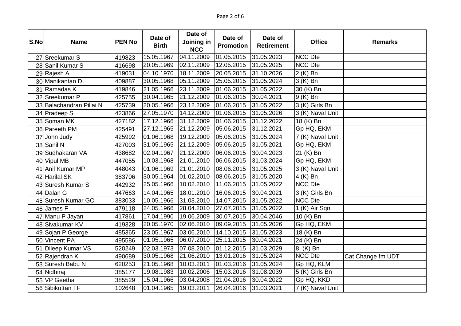| S.No | <b>Name</b>              | <b>PEN No</b> | Date of<br><b>Birth</b> | Date of<br>Joining in<br><b>NCC</b> | Date of<br><b>Promotion</b> | Date of<br><b>Retirement</b> | <b>Office</b>                 | <b>Remarks</b>    |
|------|--------------------------|---------------|-------------------------|-------------------------------------|-----------------------------|------------------------------|-------------------------------|-------------------|
|      | 27 Sreekumar S           | 419823        | 15.05.1967              | 04.11.2009                          | 01.05.2015                  | 31.05.2023                   | <b>NCC Dte</b>                |                   |
|      | 28 Sanil Kumar S         | 416698        | 20.05.1969              | 02.11.2009                          | 12.05.2015                  | 31.05.2025                   | <b>NCC Dte</b>                |                   |
|      | 29 Rajesh A              | 419031        | 04.10.1970              | 18.11.2009                          | 20.05.2015                  | $\overline{31.10.2026}$      | 2 (K) Bn                      |                   |
|      | 30 Manikantan D          | 409887        | 30.05.1968              | 05.11.2009                          | 25.05.2015                  | 31.05.2024                   | 3 (K) Bn                      |                   |
|      | 31 Ramadas K             | 419846        | 21.05.1966              | 23.11.2009                          | 01.06.2015                  | 31.05.2022                   | 30 (K) Bn                     |                   |
|      | 32 Sreekumar P           | 425755        | 30.04.1965              | 21.12.2009                          | 01.06.2015                  | 30.04.2021                   | $9(K)$ Bn                     |                   |
|      | 33 Balachandran Pillai N | 425739        | 20.05.1966              | 23.12.2009                          | 01.06.2015                  | 31.05.2022                   | 3 (K) Girls Bn                |                   |
|      | 34 Pradeep S             | 423866        | 27.05.1970              | 14.12.2009                          | 01.06.2015                  | 31.05.2026                   | $\overline{3}$ (K) Naval Unit |                   |
|      | 35 Soman MK              | 427182        | 17.12.1966              | 31.12.2009                          | 01.06.2015                  | 31.12.2022                   | 18 (K) Bn                     |                   |
|      | 36 Pareeth PM            | 425491        | 27.12.1965              | 21.12.2009                          | 05.06.2015                  | 31.12.2021                   | Gp HQ, EKM                    |                   |
|      | 37 John Judy             | 425992        | 01.06.1968              | 19.12.2009                          | 05.06.2015                  | 31.05.2024                   | 7 (K) Naval Unit              |                   |
|      | 38 Sanil N               | 427003        | 31.05.1965              | 21.12.2009                          | 05.06.2015                  | 31.05.2021                   | Gp HQ, EKM                    |                   |
|      | 39 Sudhakaran VA         | 438682        | 02.04.1967              | 21.12.2009                          | 06.06.2015                  | 30.04.2023                   | 21 (K) Bn                     |                   |
|      | 40 Vipul MB              | 447055        | 10.03.1968              | 21.01.2010                          | 06.06.2015                  | 31.03.2024                   | Gp HQ, EKM                    |                   |
|      | 41 Anil Kumar MP         | 448043        | 01.06.1969              | 21.01.2010                          | 08.06.2015                  | 31.05.2025                   | 3 (K) Naval Unit              |                   |
|      | 42 Harilal SK            | 383706        | 30.05.1964              | 01.02.2010                          | 08.06.2015                  | 31.05.2020                   | $4(K)$ Bn                     |                   |
|      | 43 Suresh Kumar S        | 442932        | 25.05.1966              | 10.02.2010                          | 11.06.2015                  | 31.05.2022                   | <b>NCC Dte</b>                |                   |
|      | 44 Dalan G               | 447663        | 14.04.1965              | 18.01.2010                          | 16.06.2015                  | 30.04.2021                   | 3 (K) Girls Bn                |                   |
|      | 45 Suresh Kumar GO       | 383033        | 10.05.1966              | 31.03.2010                          | 14.07.2015                  | 31.05.2022                   | NCC Dte                       |                   |
|      | 46 James F               | 479118        | 24.05.1966              | 28.04.2010                          | 27.07.2015                  | 31.05.2022                   | $1$ (K) Air Sqn               |                   |
|      | 47 Manu P Jayan          | 417861        | 17.04.1990              | 19.06.2009                          | 30.07.2015                  | 30.04.2046                   | 10 (K) Bn                     |                   |
|      | 48 Sivakumar KV          | 419328        | 20.05.1970              | 02.06.2010                          | 09.09.2015                  | 31.05.2026                   | Gp HQ, EKM                    |                   |
|      | 49 Sojan P George        | 485365        | 23.05.1967              | 03.06.2010                          | 14.10.2015                  | 31.05.2023                   | 18 (K) Bn                     |                   |
|      | 50 Vincent PA            | 495586        | 01.05.1965              | 06.07.2010                          | 25.11.2015                  | 30.04.2021                   | 24 (K) Bn                     |                   |
|      | 51 Dileep Kumar VS       | 520249        | 02.03.1973              | 07.08.2010                          | 01.12.2015                  | 31.03.2029                   | 8 (K) Bn                      |                   |
|      | 52 Rajendran K           | 490689        | 30.05.1968              | 21.06.2010                          | 13.01.2016                  | 31.05.2024                   | <b>NCC Dte</b>                | Cat Change fm UDT |
|      | 53 Suresh Babu N         | 620253        | 21.05.1968              | 10.03.2011                          | 01.03.2016                  | 31.05.2024                   | Gp HQ, KLM                    |                   |
|      | 54 Nidhiraj              | 385177        | 19.08.1983              | 10.02.2006                          | 15.03.2016                  | 31.08.2039                   | 5 (K) Girls Bn                |                   |
|      | 55 VP Geetha             | 385529        | 15.04.1966              | 03.04.2008                          | 21.04.2016                  | 30.04.2022                   | Gp HQ, KKD                    |                   |
|      | 56 Sibikuttan TF         | 102648        | 01.04.1965              | 19.03.2011                          | 26.04.2016                  | 31.03.2021                   | 7 (K) Naval Unit              |                   |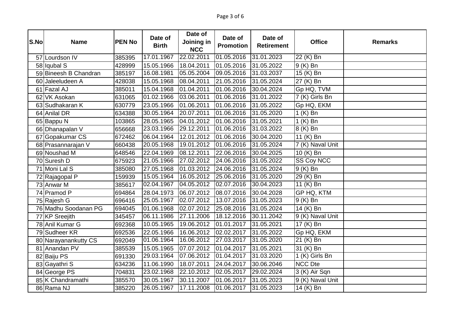| S.No | <b>Name</b>           | <b>PEN No</b> | Date of<br><b>Birth</b> | Date of<br>Joining in<br><b>NCC</b> | Date of<br><b>Promotion</b> | Date of<br><b>Retirement</b> | <b>Office</b>         | <b>Remarks</b> |
|------|-----------------------|---------------|-------------------------|-------------------------------------|-----------------------------|------------------------------|-----------------------|----------------|
|      | 57 Lourdson IV        | 385395        | 17.01.1967              | 22.02.2011                          | 01.05.2016                  | 31.01.2023                   | 22 (K) Bn             |                |
|      | 58 Iqubal S           | 428999        | 15.05.1966              | 18.04.2011                          | 01.05.2016                  | 31.05.2022                   | $\overline{9}$ (K) Bn |                |
|      | 59 Bineesh B Chandran | 385197        | 16.08.1981              | 05.05.2004                          | 09.05.2016                  | 31.03.2037                   | 15 (K) Bn             |                |
|      | 60 Jaleeludeen A      | 428038        | 15.05.1968              | 08.04.2011                          | 21.05.2016                  | 31.05.2024                   | 27 (K) Bn             |                |
|      | 61 Fazal AJ           | 385011        | 15.04.1968              | 01.04.2011                          | 01.06.2016                  | 30.04.2024                   | Gp HQ, TVM            |                |
|      | 62 VK Asokan          | 631065        | 01.02.1966              | 03.06.2011                          | 01.06.2016                  | 31.01.2022                   | 7 (K) Girls Bn        |                |
|      | 63 Sudhakaran K       | 630779        | 23.05.1966              | 01.06.2011                          | 01.06.2016                  | 31.05.2022                   | Gp HQ, EKM            |                |
|      | 64 Anilal DR          | 634388        | 30.05.1964              | 20.07.2011                          | 01.06.2016                  | 31.05.2020                   | $1(K)$ Bn             |                |
|      | 65 Bappu N            | 103865        | 28.05.1965              | 04.01.2012                          | 01.06.2016                  | 31.05.2021                   | $1(K)$ Bn             |                |
|      | 66 Dhanapalan V       | 656668        | 23.03.1966              | 29.12.2011                          | 01.06.2016                  | 31.03.2022                   | 8 (K) Bn              |                |
|      | 67 Gopakumar CS       | 672462        | 06.04.1964              | 12.01.2012                          | 01.06.2016                  | 30.04.2020                   | 11 (K) Bn             |                |
|      | 68 Prasannarajan V    | 660438        | 20.05.1968              | 19.01.2012                          | $\overline{01.06.2016}$     | 31.05.2024                   | 7 (K) Naval Unit      |                |
|      | 69 Noushad M          | 648546        | 22.04.1969              | 08.12.2011                          | 22.06.2016                  | 30.04.2025                   | 10 (K) Bn             |                |
|      | 70 Suresh D           | 675923        | 21.05.1966              | 27.02.2012                          | 24.06.2016                  | 31.05.2022                   | <b>SS Coy NCC</b>     |                |
|      | 71 Moni Lal S         | 385080        | 27.05.1968              | 01.03.2012                          | 24.06.2016                  | 31.05.2024                   | 9 (K) Bn              |                |
|      | 72 Rajagopal P        | 159939        | 15.05.1964              | 16.05.2012                          | 25.06.2016                  | 31.05.2020                   | 29 (K) Bn             |                |
|      | 73 Anwar M            | 385617        | 02.04.1967              | 04.05.2012                          | 02.07.2016                  | 30.04.2023                   | 11 (K) Bn             |                |
|      | 74 Pramod P           | 694864        | 28.04.1973              | 06.07.2012                          | 08.07.2016                  | 30.04.2028                   | GP HQ, KTM            |                |
|      | 75 Rajesh G           | 696416        | 25.05.1967              | 02.07.2012                          | 13.07.2016                  | 31.05.2023                   | 9 (K) Bn              |                |
|      | 76 Madhu Soodanan PG  | 694045        | 01.06.1968              | 02.07.2012                          | 25.08.2016                  | 31.05.2024                   | 14 (K) Bn             |                |
|      | 77 KP Sreejith        | 345457        | 06.11.1986              | 27.11.2006                          | 18.12.2016                  | 30.11.2042                   | 9 (K) Naval Unit      |                |
|      | 78 Anil Kumar G       | 692368        | 10.05.1965              | 19.06.2012                          | 01.01.2017                  | 31.05.2021                   | 17 (K) Bn             |                |
|      | 79 Sudheer KR         | 692536        | 22.05.1966              | 16.06.2012                          | 02.02.2017                  | 31.05.2022                   | Gp HQ, EKM            |                |
|      | 80 Narayanankutty CS  | 692049        | 01.06.1964              | 16.06.2012                          | 27.03.2017                  | 31.05.2020                   | 21 (K) Bn             |                |
|      | 81 Anandan PV         | 385539        | 15.05.1965              | 07.07.2012                          | 01.04.2017                  | 31.05.2021                   | 31 (K) Bn             |                |
|      | 82 Baiju PS           | 691330        | 29.03.1964              | 07.06.2012                          | 01.04.2017                  | 31.03.2020                   | 1 (K) Girls Bn        |                |
|      | 83 Gayathri S         | 634236        | 11.06.1990              | 18.07.2011                          | 24.04.2017                  | 30.06.2046                   | NCC Dte               |                |
|      | 84 George PS          | 704831        | 23.02.1968              | 22.10.2012                          | 02.05.2017                  | 29.02.2024                   | 3 (K) Air Sqn         |                |
|      | 85 K Chandramathi     | 385570        | 30.05.1967              | 30.11.2007                          | 01.06.2017                  | 31.05.2023                   | 9 (K) Naval Unit      |                |
|      | 86 Rama NJ            | 385220        | 26.05.1967              | 17.11.2008                          | 01.06.2017                  | 31.05.2023                   | 14 (K) Bn             |                |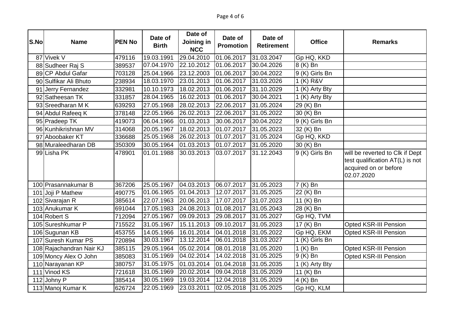| S.No | <b>Name</b>              | <b>PEN No</b> | Date of<br><b>Birth</b> | Date of<br>Joining in<br><b>NCC</b> | Date of<br><b>Promotion</b> | Date of<br><b>Retirement</b> | <b>Office</b>  | <b>Remarks</b>                                                                                            |
|------|--------------------------|---------------|-------------------------|-------------------------------------|-----------------------------|------------------------------|----------------|-----------------------------------------------------------------------------------------------------------|
|      | 87 Vivek V               | 479116        | 19.03.1991              | 29.04.2010                          | 01.06.2017                  | 31.03.2047                   | Gp HQ, KKD     |                                                                                                           |
|      | 88 Sudheer Raj S         | 389537        | 07.04.1970              | 22.10.2012                          | 01.06.2017                  | 30.04.2026                   | 8 (K) Bn       |                                                                                                           |
|      | 89 CP Abdul Gafar        | 703128        | 25.04.1966              | 23.12.2003                          | 01.06.2017                  | 30.04.2022                   | 9 (K) Girls Bn |                                                                                                           |
|      | 90 Sulfikar Ali Bhuto    | 238934        | 18.03.1970              | 23.01.2013                          | 01.06.2017                  | $\overline{31.03.2026}$      | $1$ (K) R&V    |                                                                                                           |
|      | 91 Jerry Fernandez       | 332981        | 10.10.1973              | 18.02.2013                          | 01.06.2017                  | 31.10.2029                   | 1 (K) Arty Bty |                                                                                                           |
|      | 92 Satheesan TK          | 331857        | 28.04.1965              | 16.02.2013                          | 01.06.2017                  | 30.04.2021                   | 1 (K) Arty Bty |                                                                                                           |
|      | 93 Sreedharan MK         | 639293        | 27.05.1968              | 28.02.2013                          | 22.06.2017                  | 31.05.2024                   | 29 (K) Bn      |                                                                                                           |
|      | 94 Abdul Rafeeq K        | 378148        | 22.05.1966              | 26.02.2013                          | 22.06.2017                  | 31.05.2022                   | 30 (K) Bn      |                                                                                                           |
|      | 95 Pradeep TK            | 419073        | 06.04.1966              | 01.03.2013                          | 30.06.2017                  | 30.04.2022                   | 9 (K) Girls Bn |                                                                                                           |
|      | 96 Kunhikrishnan MV      | 314068        | 20.05.1967              | 18.02.2013                          | 01.07.2017                  | 31.05.2023                   | 32 (K) Bn      |                                                                                                           |
|      | 97 Aboobaker KT          | 336688        | 25.05.1968              | 26.02.2013                          | 01.07.2017                  | 31.05.2024                   | Gp HQ, KKD     |                                                                                                           |
|      | 98 Muraleedharan DB      | 350309        | 30.05.1964              | 01.03.2013                          | 01.07.2017                  | 31.05.2020                   | 30 (K) Bn      |                                                                                                           |
|      | 99 Lisha PK              | 478901        | 01.01.1988              | 30.03.2013                          | 03.07.2017                  | 31.12.2043                   | 9 (K) Girls Bn | will be reverted to Clk if Dept<br>test qualification AT(L) is not<br>acquired on or before<br>02.07.2020 |
|      | 100 Prasannakumar B      | 367206        | 25.05.1967              | 04.03.2013                          | 06.07.2017                  | 31.05.2023                   | 7 (K) Bn       |                                                                                                           |
|      | 101 Joji P Mathew        | 490775        | 01.06.1965              | 01.04.2013                          | 12.07.2017                  | 31.05.2025                   | 22 (K) Bn      |                                                                                                           |
|      | 102 Sivarajan R          | 385614        | 22.07.1963              | 20.06.2013                          | 17.07.2017                  | 31.07.2023                   | 11 (K) Bn      |                                                                                                           |
|      | 103 Anukumar K           | 691044        | 17.05.1983              | 24.08.2013                          | 01.08.2017                  | 31.05.2043                   | 28 (K) Bn      |                                                                                                           |
|      | 104 Robert S             | 712094        | 27.05.1967              | 09.09.2013                          | 29.08.2017                  | 31.05.2027                   | Gp HQ, TVM     |                                                                                                           |
|      | 105 Sureshkumar P        | 715522        | 31.05.1967              | 15.11.2013                          | 09.10.2017                  | 31.05.2023                   | 17 (K) Bn      | <b>Opted KSR-III Pension</b>                                                                              |
|      | 106 Sugunan KB           | 453755        | 14.05.1966              | 16.01.2014                          | 04.01.2018                  | 31.05.2022                   | Gp HQ, EKM     | <b>Opted KSR-III Pension</b>                                                                              |
|      | 107 Suresh Kumar PS      | 720894        | 30.03.1967              | 13.12.2014                          | 06.01.2018                  | 31.03.2027                   | 1 (K) Girls Bn |                                                                                                           |
|      | 108 Rajachandran Nair KJ | 385115        | 29.05.1964              | 05.02.2014                          | 08.01.2018                  | 31.05.2020                   | $1(K)$ Bn      | <b>Opted KSR-III Pension</b>                                                                              |
|      | 109 Moncy Alex O John    | 385083        | 31.05.1969              | 04.02.2014                          | 14.02.2018                  | 31.05.2025                   | $9(K)$ Bn      | <b>Opted KSR-III Pension</b>                                                                              |
|      | 110 Narayanan KP         | 380757        | 31.05.1975              | 01.03.2014                          | 01.04.2018                  | 31.05.2035                   | 1 (K) Arty Bty |                                                                                                           |
|      | 111 Vinod KS             | 721618        | 31.05.1969              | 20.02.2014                          | 09.04.2018                  | 31.05.2029                   | 11 (K) Bn      |                                                                                                           |
|      | 112 Johny P              | 385414        | 30.05.1969              | 19.03.2014                          | 12.04.2018                  | 31.05.2029                   | 4 (K) Bn       |                                                                                                           |
|      | 113 Manoj Kumar K        | 626724        | 22.05.1969              | 23.03.2011                          | 02.05.2018                  | 31.05.2025                   | Gp HQ, KLM     |                                                                                                           |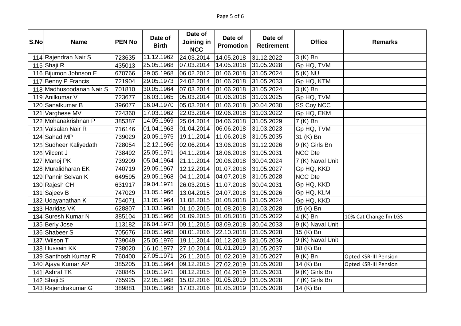| S.No | <b>Name</b>              | <b>PEN No</b> | Date of<br><b>Birth</b> | Date of<br>Joining in<br><b>NCC</b> | Date of<br><b>Promotion</b> | Date of<br><b>Retirement</b> | <b>Office</b>                 | <b>Remarks</b>               |
|------|--------------------------|---------------|-------------------------|-------------------------------------|-----------------------------|------------------------------|-------------------------------|------------------------------|
|      | 114 Rajendran Nair S     | 723635        | 11.12.1962              | 24.03.2014                          | 14.05.2018                  | 31.12.2022                   | 3 (K) Bn                      |                              |
|      | 115 Shaji R              | 435013        | 25.05.1968              | 07.03.2014                          | 14.05.2018                  | 31.05.2028                   | Gp HQ, TVM                    |                              |
|      | 116 Bijumon Johnson E    | 670766        | 29.05.1968              | 06.02.2012                          | 01.06.2018                  | 31.05.2024                   | 5 (K) NU                      |                              |
|      | 117 Benny P Francis      | 721904        | 29.05.1973              | 24.02.2014                          | 01.06.2018                  | 31.05.2033                   | Gp HQ, KTM                    |                              |
|      | 118 Madhusoodanan Nair S | 701810        | 30.05.1964              | 07.03.2014                          | 01.06.2018                  | 31.05.2024                   | 3 (K) Bn                      |                              |
|      | 119 Anilkumar V          | 723677        | 16.03.1965              | 05.03.2014                          | 01.06.2018                  | 31.03.2025                   | Gp HQ, TVM                    |                              |
|      | 120 Sanalkumar B         | 396077        | 16.04.1970              | 05.03.2014                          | $\overline{0}$ 1.06.2018    | 30.04.2030                   | SS Coy NCC                    |                              |
|      | 121 Varghese MV          | 724360        | 17.03.1962              | 22.03.2014                          | 02.06.2018                  | 31.03.2022                   | Gp HQ, EKM                    |                              |
|      | 122 Mohanakrishnan P     | 385387        | 14.05.1969              | 25.04.2014                          | 04.06.2018                  | 31.05.2029                   | 7 (K) Bn                      |                              |
|      | 123 Valsalan Nair R      | 716146        | 01.04.1963              | 01.04.2014                          | 06.06.2018                  | 31.03.2023                   | Gp HQ, TVM                    |                              |
|      | 124 Sahad MP             | 739029        | 20.05.1975              | 19.11.2014                          | 11.06.2018                  | 31.05.2035                   | 31 (K) Bn                     |                              |
|      | 125 Sudheer Kaliyedath   | 728054        | 12.12.1966              | 02.06.2014                          | 13.06.2018                  | 31.12.2026                   | 9 (K) Girls Bn                |                              |
|      | 126 Vilcent J            | 738492        | 25.05.1971              | 04.11.2014                          | 18.06.2018                  | 31.05.2031                   | <b>NCC Dte</b>                |                              |
|      | 127 Manoj PK             | 739209        | 05.04.1964              | 21.11.2014                          | 20.06.2018                  | 30.04.2024                   | 7 (K) Naval Unit              |                              |
|      | 128 Muralidharan EK      | 740719        | 29.05.1967              | 12.12.2014                          | 01.07.2018                  | 31.05.2027                   | Gp HQ, KKD                    |                              |
|      | 129 Pannir Selvan K      | 649595        | 29.05.1968              | 04.11.2014                          | 04.07.2018                  | 31.05.2028                   | <b>NCC Dte</b>                |                              |
|      | 130 Rajesh CH            | 631917        | 29.04.1971              | 26.03.2015                          | 11.07.2018                  | 30.04.2031                   | Gp HQ, KKD                    |                              |
|      | 131 Sajeev B             | 747029        | 31.05.1966              | 13.04.2015                          | 24.07.2018                  | 31.05.2026                   | Gp HQ, KLM                    |                              |
|      | 132 Udayanathan K        | 754071        | 31.05.1964              | 11.08.2015                          | $\overline{01.08.2018}$     | 31.05.2024                   | Gp HQ, KKD                    |                              |
|      | 133 Haridas VK           | 628807        | 11.03.1968              | 01.10.2015                          | 01.08.2018                  | 31.03.2028                   | 15 (K) Bn                     |                              |
|      | 134 Suresh Kumar N       | 385104        | 31.05.1966              | 01.09.2015                          | 01.08.2018                  | 31.05.2022                   | 4 (K) Bn                      | 10% Cat Change fm LGS        |
|      | 135 Berly Jose           | 113182        | 26.04.1973              | 09.11.2015                          | 03.09.2018                  | 30.04.2033                   | 9 (K) Naval Unit              |                              |
|      | 136 Shabeer S            | 705676        | 20.05.1968              | 08.01.2016                          | 22.10.2018                  | 31.05.2028                   | 15 (K) Bn                     |                              |
|      | 137 Wilson T             | 739049        | 25.05.1976              | 19.11.2014                          | 01.12.2018                  | 31.05.2036                   | $\overline{9}$ (K) Naval Unit |                              |
|      | 138 Hussain KK           | 738020        | 16.10.1977              | 27.10.2014                          | 01.01.2019                  | 31.05.2037                   | 18 (K) Bn                     |                              |
|      | 139 Santhosh Kumar R     | 760400        | 27.05.1971              | 26.11.2015                          | 01.02.2019                  | 31.05.2027                   | 9 (K) Bn                      | <b>Opted KSR-III Pension</b> |
|      | 140 Ajaya Kumar AP       | 385205        | 31.05.1964              | 09.12.2015                          | 27.02.2019                  | 31.05.2020                   | 14 (K) Bn                     | <b>Opted KSR-III Pension</b> |
|      | 141 Ashraf TK            | 760845        | 10.05.1971              | 08.12.2015                          | 01.04.2019                  | 31.05.2031                   | 9 (K) Girls Bn                |                              |
|      | 142 Shaji.S              | 765925        | 22.05.1968              | 15.02.2016                          | 01.05.2019                  | 31.05.2028                   | 7 (K) Girls Bn                |                              |
|      | 143 Rajendrakumar.G      | 389881        | 30.05.1968              | 17.03.2016                          | 01.05.2019                  | 31.05.2028                   | 14 (K) Bn                     |                              |